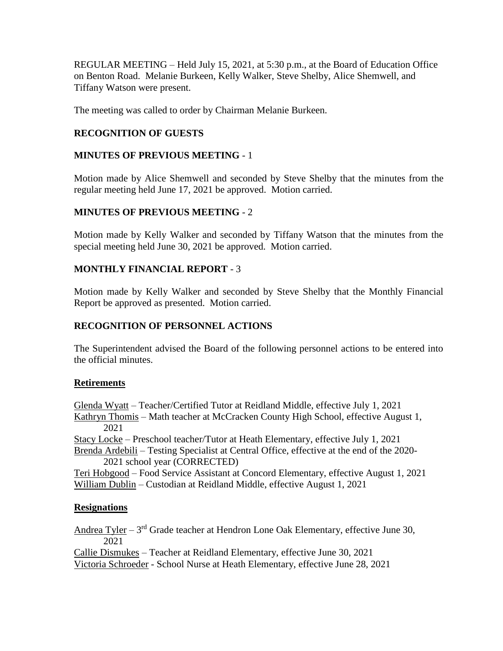REGULAR MEETING – Held July 15, 2021, at 5:30 p.m., at the Board of Education Office on Benton Road. Melanie Burkeen, Kelly Walker, Steve Shelby, Alice Shemwell, and Tiffany Watson were present.

The meeting was called to order by Chairman Melanie Burkeen.

## **RECOGNITION OF GUESTS**

## **MINUTES OF PREVIOUS MEETING** - 1

Motion made by Alice Shemwell and seconded by Steve Shelby that the minutes from the regular meeting held June 17, 2021 be approved. Motion carried.

## **MINUTES OF PREVIOUS MEETING** - 2

Motion made by Kelly Walker and seconded by Tiffany Watson that the minutes from the special meeting held June 30, 2021 be approved. Motion carried.

## **MONTHLY FINANCIAL REPORT** - 3

Motion made by Kelly Walker and seconded by Steve Shelby that the Monthly Financial Report be approved as presented. Motion carried.

## **RECOGNITION OF PERSONNEL ACTIONS**

The Superintendent advised the Board of the following personnel actions to be entered into the official minutes.

## **Retirements**

Glenda Wyatt – Teacher/Certified Tutor at Reidland Middle, effective July 1, 2021 Kathryn Thomis – Math teacher at McCracken County High School, effective August 1, 2021

Stacy Locke – Preschool teacher/Tutor at Heath Elementary, effective July 1, 2021 Brenda Ardebili – Testing Specialist at Central Office, effective at the end of the 2020- 2021 school year (CORRECTED)

Teri Hobgood – Food Service Assistant at Concord Elementary, effective August 1, 2021 William Dublin – Custodian at Reidland Middle, effective August 1, 2021

## **Resignations**

Andrea Tyler – 3<sup>rd</sup> Grade teacher at Hendron Lone Oak Elementary, effective June 30, 2021

Callie Dismukes – Teacher at Reidland Elementary, effective June 30, 2021 Victoria Schroeder - School Nurse at Heath Elementary, effective June 28, 2021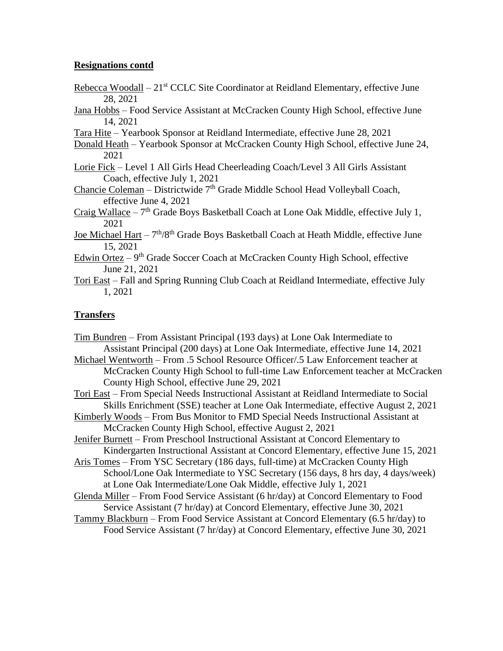### **Resignations contd**

- Rebecca Woodall 21<sup>st</sup> CCLC Site Coordinator at Reidland Elementary, effective June 28, 2021
- Jana Hobbs Food Service Assistant at McCracken County High School, effective June 14, 2021
- Tara Hite Yearbook Sponsor at Reidland Intermediate, effective June 28, 2021
- Donald Heath Yearbook Sponsor at McCracken County High School, effective June 24, 2021
- Lorie Fick Level 1 All Girls Head Cheerleading Coach/Level 3 All Girls Assistant Coach, effective July 1, 2021
- Chancie Coleman Districtwide  $7<sup>th</sup>$  Grade Middle School Head Volleyball Coach, effective June 4, 2021
- Craig Wallace  $-7$ <sup>th</sup> Grade Boys Basketball Coach at Lone Oak Middle, effective July 1, 2021
- Joe Michael Hart 7<sup>th</sup>/8<sup>th</sup> Grade Boys Basketball Coach at Heath Middle, effective June 15, 2021
- Edwin Ortez  $9<sup>th</sup>$  Grade Soccer Coach at McCracken County High School, effective June 21, 2021
- Tori East Fall and Spring Running Club Coach at Reidland Intermediate, effective July 1, 2021

## **Transfers**

Tim Bundren – From Assistant Principal (193 days) at Lone Oak Intermediate to Assistant Principal (200 days) at Lone Oak Intermediate, effective June 14, 2021 Michael Wentworth – From .5 School Resource Officer/.5 Law Enforcement teacher at McCracken County High School to full-time Law Enforcement teacher at McCracken County High School, effective June 29, 2021 Tori East – From Special Needs Instructional Assistant at Reidland Intermediate to Social Skills Enrichment (SSE) teacher at Lone Oak Intermediate, effective August 2, 2021 Kimberly Woods – From Bus Monitor to FMD Special Needs Instructional Assistant at McCracken County High School, effective August 2, 2021 Jenifer Burnett – From Preschool Instructional Assistant at Concord Elementary to Kindergarten Instructional Assistant at Concord Elementary, effective June 15, 2021 Aris Tomes – From YSC Secretary (186 days, full-time) at McCracken County High School/Lone Oak Intermediate to YSC Secretary (156 days, 8 hrs day, 4 days/week) at Lone Oak Intermediate/Lone Oak Middle, effective July 1, 2021 Glenda Miller – From Food Service Assistant (6 hr/day) at Concord Elementary to Food Service Assistant (7 hr/day) at Concord Elementary, effective June 30, 2021 Tammy Blackburn – From Food Service Assistant at Concord Elementary (6.5 hr/day) to Food Service Assistant (7 hr/day) at Concord Elementary, effective June 30, 2021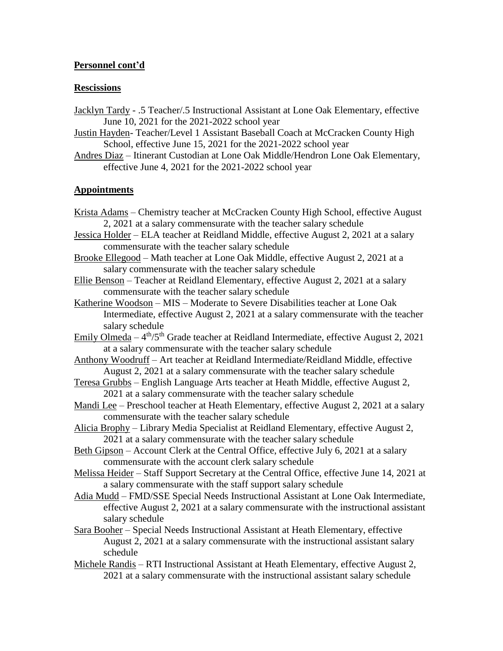### **Personnel cont'd**

#### **Rescissions**

- Jacklyn Tardy .5 Teacher/.5 Instructional Assistant at Lone Oak Elementary, effective June 10, 2021 for the 2021-2022 school year
- Justin Hayden- Teacher/Level 1 Assistant Baseball Coach at McCracken County High School, effective June 15, 2021 for the 2021-2022 school year
- Andres Diaz Itinerant Custodian at Lone Oak Middle/Hendron Lone Oak Elementary, effective June 4, 2021 for the 2021-2022 school year

#### **Appointments**

- Krista Adams Chemistry teacher at McCracken County High School, effective August 2, 2021 at a salary commensurate with the teacher salary schedule Jessica Holder – ELA teacher at Reidland Middle, effective August 2, 2021 at a salary commensurate with the teacher salary schedule Brooke Ellegood – Math teacher at Lone Oak Middle, effective August 2, 2021 at a salary commensurate with the teacher salary schedule Ellie Benson – Teacher at Reidland Elementary, effective August 2, 2021 at a salary commensurate with the teacher salary schedule Katherine Woodson – MIS – Moderate to Severe Disabilities teacher at Lone Oak Intermediate, effective August 2, 2021 at a salary commensurate with the teacher salary schedule Emily Olmeda –  $4<sup>th</sup>/5<sup>th</sup>$  Grade teacher at Reidland Intermediate, effective August 2, 2021 at a salary commensurate with the teacher salary schedule Anthony Woodruff – Art teacher at Reidland Intermediate/Reidland Middle, effective August 2, 2021 at a salary commensurate with the teacher salary schedule
- Teresa Grubbs English Language Arts teacher at Heath Middle, effective August 2, 2021 at a salary commensurate with the teacher salary schedule
- Mandi Lee Preschool teacher at Heath Elementary, effective August 2, 2021 at a salary commensurate with the teacher salary schedule
- Alicia Brophy Library Media Specialist at Reidland Elementary, effective August 2, 2021 at a salary commensurate with the teacher salary schedule
- Beth Gipson Account Clerk at the Central Office, effective July 6, 2021 at a salary commensurate with the account clerk salary schedule
- Melissa Heider Staff Support Secretary at the Central Office, effective June 14, 2021 at a salary commensurate with the staff support salary schedule
- Adia Mudd FMD/SSE Special Needs Instructional Assistant at Lone Oak Intermediate, effective August 2, 2021 at a salary commensurate with the instructional assistant salary schedule
- Sara Booher Special Needs Instructional Assistant at Heath Elementary, effective August 2, 2021 at a salary commensurate with the instructional assistant salary schedule
- Michele Randis RTI Instructional Assistant at Heath Elementary, effective August 2, 2021 at a salary commensurate with the instructional assistant salary schedule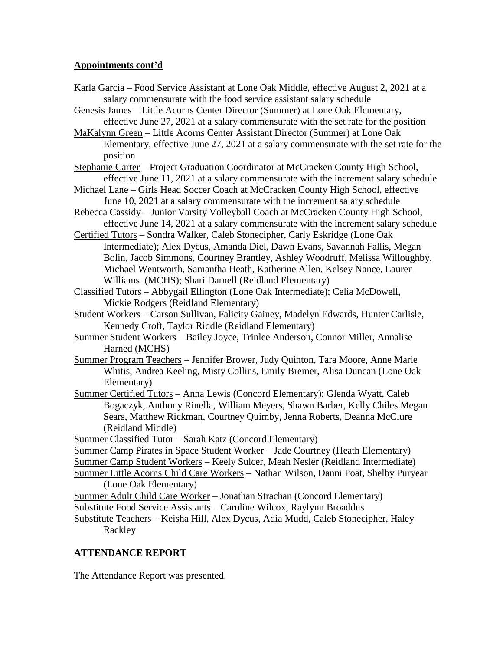### **Appointments cont'd**

- Karla Garcia Food Service Assistant at Lone Oak Middle, effective August 2, 2021 at a salary commensurate with the food service assistant salary schedule
- Genesis James Little Acorns Center Director (Summer) at Lone Oak Elementary, effective June 27, 2021 at a salary commensurate with the set rate for the position
- MaKalynn Green Little Acorns Center Assistant Director (Summer) at Lone Oak Elementary, effective June 27, 2021 at a salary commensurate with the set rate for the position
- Stephanie Carter Project Graduation Coordinator at McCracken County High School, effective June 11, 2021 at a salary commensurate with the increment salary schedule
- Michael Lane Girls Head Soccer Coach at McCracken County High School, effective June 10, 2021 at a salary commensurate with the increment salary schedule
- Rebecca Cassidy Junior Varsity Volleyball Coach at McCracken County High School, effective June 14, 2021 at a salary commensurate with the increment salary schedule
- Certified Tutors Sondra Walker, Caleb Stonecipher, Carly Eskridge (Lone Oak Intermediate); Alex Dycus, Amanda Diel, Dawn Evans, Savannah Fallis, Megan Bolin, Jacob Simmons, Courtney Brantley, Ashley Woodruff, Melissa Willoughby, Michael Wentworth, Samantha Heath, Katherine Allen, Kelsey Nance, Lauren Williams (MCHS); Shari Darnell (Reidland Elementary)
- Classified Tutors Abbygail Ellington (Lone Oak Intermediate); Celia McDowell, Mickie Rodgers (Reidland Elementary)
- Student Workers Carson Sullivan, Falicity Gainey, Madelyn Edwards, Hunter Carlisle, Kennedy Croft, Taylor Riddle (Reidland Elementary)
- Summer Student Workers Bailey Joyce, Trinlee Anderson, Connor Miller, Annalise Harned (MCHS)
- Summer Program Teachers Jennifer Brower, Judy Quinton, Tara Moore, Anne Marie Whitis, Andrea Keeling, Misty Collins, Emily Bremer, Alisa Duncan (Lone Oak Elementary)
- Summer Certified Tutors Anna Lewis (Concord Elementary); Glenda Wyatt, Caleb Bogaczyk, Anthony Rinella, William Meyers, Shawn Barber, Kelly Chiles Megan Sears, Matthew Rickman, Courtney Quimby, Jenna Roberts, Deanna McClure (Reidland Middle)

Summer Classified Tutor – Sarah Katz (Concord Elementary)

Summer Camp Pirates in Space Student Worker – Jade Courtney (Heath Elementary)

- Summer Camp Student Workers Keely Sulcer, Meah Nesler (Reidland Intermediate)
- Summer Little Acorns Child Care Workers Nathan Wilson, Danni Poat, Shelby Puryear (Lone Oak Elementary)
- Summer Adult Child Care Worker Jonathan Strachan (Concord Elementary)
- Substitute Food Service Assistants Caroline Wilcox, Raylynn Broaddus
- Substitute Teachers Keisha Hill, Alex Dycus, Adia Mudd, Caleb Stonecipher, Haley Rackley

# **ATTENDANCE REPORT**

The Attendance Report was presented.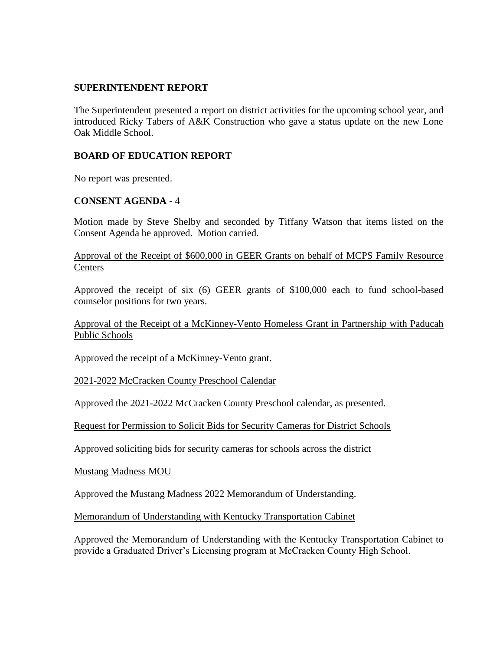#### **SUPERINTENDENT REPORT**

The Superintendent presented a report on district activities for the upcoming school year, and introduced Ricky Tabers of A&K Construction who gave a status update on the new Lone Oak Middle School.

### **BOARD OF EDUCATION REPORT**

No report was presented.

## **CONSENT AGENDA** - 4

Motion made by Steve Shelby and seconded by Tiffany Watson that items listed on the Consent Agenda be approved. Motion carried.

Approval of the Receipt of \$600,000 in GEER Grants on behalf of MCPS Family Resource **Centers** 

Approved the receipt of six (6) GEER grants of \$100,000 each to fund school-based counselor positions for two years.

Approval of the Receipt of a McKinney-Vento Homeless Grant in Partnership with Paducah Public Schools

Approved the receipt of a McKinney-Vento grant.

2021-2022 McCracken County Preschool Calendar

Approved the 2021-2022 McCracken County Preschool calendar, as presented.

Request for Permission to Solicit Bids for Security Cameras for District Schools

Approved soliciting bids for security cameras for schools across the district

Mustang Madness MOU

Approved the Mustang Madness 2022 Memorandum of Understanding.

Memorandum of Understanding with Kentucky Transportation Cabinet

Approved the Memorandum of Understanding with the Kentucky Transportation Cabinet to provide a Graduated Driver's Licensing program at McCracken County High School.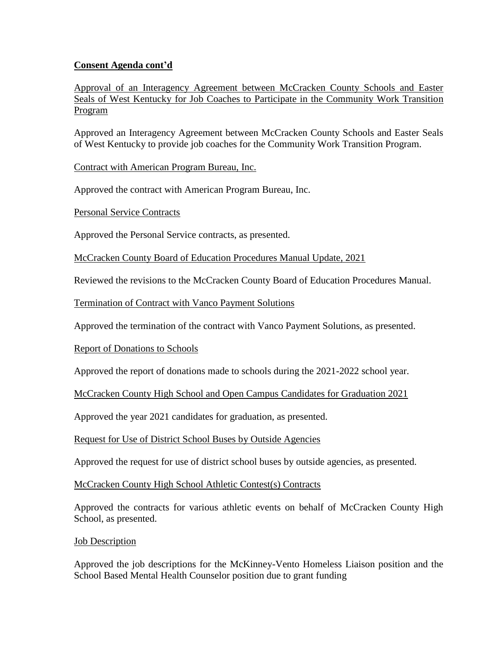## **Consent Agenda cont'd**

Approval of an Interagency Agreement between McCracken County Schools and Easter Seals of West Kentucky for Job Coaches to Participate in the Community Work Transition Program

Approved an Interagency Agreement between McCracken County Schools and Easter Seals of West Kentucky to provide job coaches for the Community Work Transition Program.

Contract with American Program Bureau, Inc.

Approved the contract with American Program Bureau, Inc.

Personal Service Contracts

Approved the Personal Service contracts, as presented.

McCracken County Board of Education Procedures Manual Update, 2021

Reviewed the revisions to the McCracken County Board of Education Procedures Manual.

Termination of Contract with Vanco Payment Solutions

Approved the termination of the contract with Vanco Payment Solutions, as presented.

Report of Donations to Schools

Approved the report of donations made to schools during the 2021-2022 school year.

McCracken County High School and Open Campus Candidates for Graduation 2021

Approved the year 2021 candidates for graduation, as presented.

Request for Use of District School Buses by Outside Agencies

Approved the request for use of district school buses by outside agencies, as presented.

McCracken County High School Athletic Contest(s) Contracts

Approved the contracts for various athletic events on behalf of McCracken County High School, as presented.

#### Job Description

Approved the job descriptions for the McKinney-Vento Homeless Liaison position and the School Based Mental Health Counselor position due to grant funding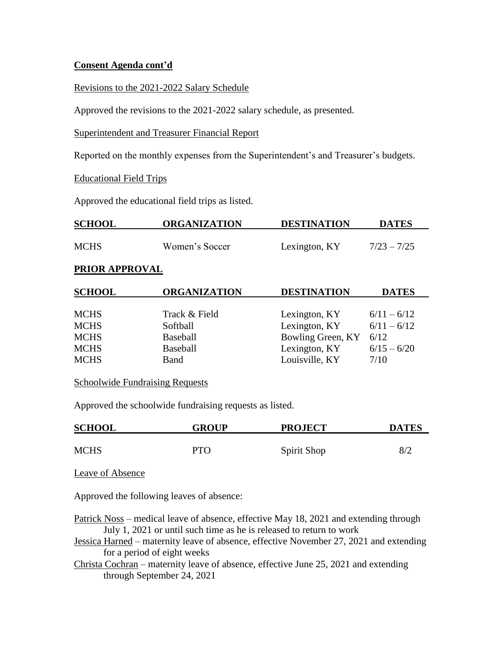### **Consent Agenda cont'd**

Revisions to the 2021-2022 Salary Schedule

Approved the revisions to the 2021-2022 salary schedule, as presented.

Superintendent and Treasurer Financial Report

Reported on the monthly expenses from the Superintendent's and Treasurer's budgets.

#### Educational Field Trips

Approved the educational field trips as listed.

| <b>SCHOOL</b>         | <b>ORGANIZATION</b> | <b>DESTINATION</b> | <b>DATES</b>  |
|-----------------------|---------------------|--------------------|---------------|
| <b>MCHS</b>           | Women's Soccer      | Lexington, KY      | $7/23 - 7/25$ |
| <b>PRIOR APPROVAL</b> |                     |                    |               |
| <b>SCHOOL</b>         | <b>ORGANIZATION</b> | <b>DESTINATION</b> | <b>DATES</b>  |
| <b>MCHS</b>           | Track & Field       | Lexington, KY      | $6/11 - 6/12$ |
| <b>MCHS</b>           | Softball            | Lexington, KY      | $6/11 - 6/12$ |
| <b>MCHS</b>           | <b>Baseball</b>     | Bowling Green, KY  | 6/12          |
| <b>MCHS</b>           | <b>Baseball</b>     | Lexington, KY      | $6/15 - 6/20$ |
| <b>MCHS</b>           | Band                | Louisville, KY     | 7/10          |

#### Schoolwide Fundraising Requests

Approved the schoolwide fundraising requests as listed.

| <b>SCHOOL</b> | <b>GROUP</b> | <b>PROJECT</b> | <b>DATES</b> |
|---------------|--------------|----------------|--------------|
|               |              |                |              |
| <b>MCHS</b>   | PTO          | Spirit Shop    | 8/2          |

Leave of Absence

Approved the following leaves of absence:

Patrick Noss – medical leave of absence, effective May 18, 2021 and extending through July 1, 2021 or until such time as he is released to return to work

Jessica Harned – maternity leave of absence, effective November 27, 2021 and extending for a period of eight weeks

Christa Cochran – maternity leave of absence, effective June 25, 2021 and extending through September 24, 2021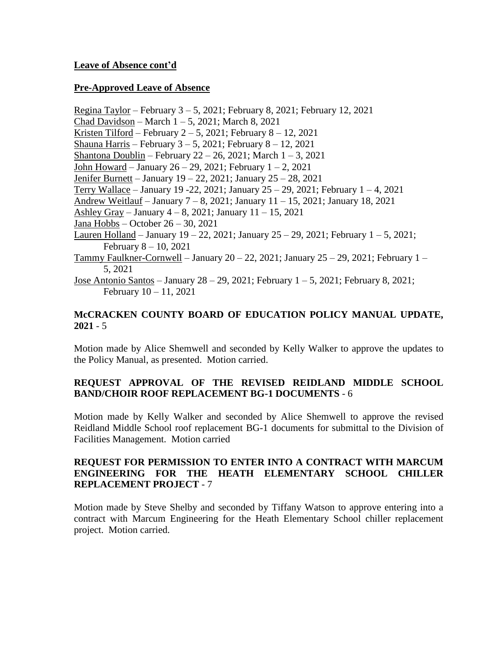### **Leave of Absence cont'd**

### **Pre-Approved Leave of Absence**

Regina Taylor – February 3 – 5, 2021; February 8, 2021; February 12, 2021 Chad Davidson – March 1 – 5, 2021; March 8, 2021 Kristen Tilford – February  $2-5$ , 2021; February  $8-12$ , 2021 Shauna Harris – February  $3 - 5$ , 2021; February  $8 - 12$ , 2021 Shantona Doublin – February  $22 - 26$ ,  $2021$ ; March  $1 - 3$ ,  $2021$ John Howard – January 26 – 29, 2021; February 1 – 2, 2021 Jenifer Burnett – January 19 – 22, 2021; January 25 – 28, 2021 Terry Wallace – January 19 -22, 2021; January 25 – 29, 2021; February 1 – 4, 2021 Andrew Weitlauf – January 7 – 8, 2021; January 11 – 15, 2021; January 18, 2021 Ashley Gray – January 4 – 8, 2021; January 11 – 15, 2021 Jana Hobbs – October 26 – 30, 2021 Lauren Holland – January 19 – 22, 2021; January 25 – 29, 2021; February  $1 - 5$ , 2021; February 8 – 10, 2021 Tammy Faulkner-Cornwell – January  $20 - 22$ ,  $2021$ ; January  $25 - 29$ ,  $2021$ ; February  $1 -$ 5, 2021 Jose Antonio Santos – January 28 – 29, 2021; February 1 – 5, 2021; February 8, 2021; February 10 – 11, 2021

### **McCRACKEN COUNTY BOARD OF EDUCATION POLICY MANUAL UPDATE, 2021** - 5

Motion made by Alice Shemwell and seconded by Kelly Walker to approve the updates to the Policy Manual, as presented. Motion carried.

## **REQUEST APPROVAL OF THE REVISED REIDLAND MIDDLE SCHOOL BAND/CHOIR ROOF REPLACEMENT BG-1 DOCUMENTS** - 6

Motion made by Kelly Walker and seconded by Alice Shemwell to approve the revised Reidland Middle School roof replacement BG-1 documents for submittal to the Division of Facilities Management. Motion carried

### **REQUEST FOR PERMISSION TO ENTER INTO A CONTRACT WITH MARCUM ENGINEERING FOR THE HEATH ELEMENTARY SCHOOL CHILLER REPLACEMENT PROJECT** - 7

Motion made by Steve Shelby and seconded by Tiffany Watson to approve entering into a contract with Marcum Engineering for the Heath Elementary School chiller replacement project. Motion carried.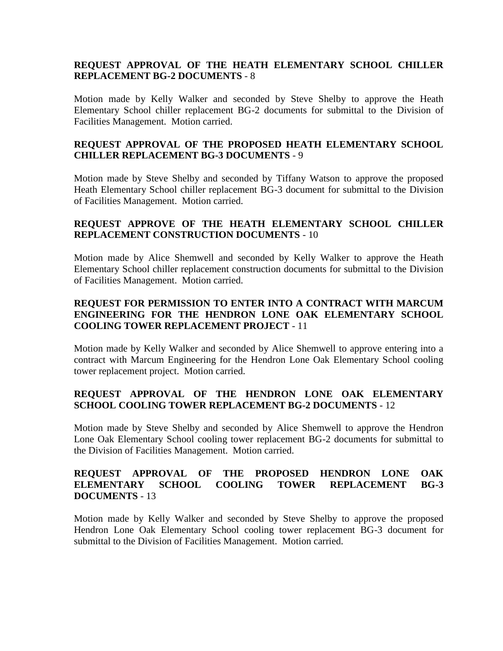### **REQUEST APPROVAL OF THE HEATH ELEMENTARY SCHOOL CHILLER REPLACEMENT BG-2 DOCUMENTS** - 8

Motion made by Kelly Walker and seconded by Steve Shelby to approve the Heath Elementary School chiller replacement BG-2 documents for submittal to the Division of Facilities Management. Motion carried.

### **REQUEST APPROVAL OF THE PROPOSED HEATH ELEMENTARY SCHOOL CHILLER REPLACEMENT BG-3 DOCUMENTS** - 9

Motion made by Steve Shelby and seconded by Tiffany Watson to approve the proposed Heath Elementary School chiller replacement BG-3 document for submittal to the Division of Facilities Management. Motion carried.

### **REQUEST APPROVE OF THE HEATH ELEMENTARY SCHOOL CHILLER REPLACEMENT CONSTRUCTION DOCUMENTS** - 10

Motion made by Alice Shemwell and seconded by Kelly Walker to approve the Heath Elementary School chiller replacement construction documents for submittal to the Division of Facilities Management. Motion carried.

## **REQUEST FOR PERMISSION TO ENTER INTO A CONTRACT WITH MARCUM ENGINEERING FOR THE HENDRON LONE OAK ELEMENTARY SCHOOL COOLING TOWER REPLACEMENT PROJECT** - 11

Motion made by Kelly Walker and seconded by Alice Shemwell to approve entering into a contract with Marcum Engineering for the Hendron Lone Oak Elementary School cooling tower replacement project. Motion carried.

## **REQUEST APPROVAL OF THE HENDRON LONE OAK ELEMENTARY SCHOOL COOLING TOWER REPLACEMENT BG-2 DOCUMENTS** - 12

Motion made by Steve Shelby and seconded by Alice Shemwell to approve the Hendron Lone Oak Elementary School cooling tower replacement BG-2 documents for submittal to the Division of Facilities Management. Motion carried.

### **REQUEST APPROVAL OF THE PROPOSED HENDRON LONE OAK ELEMENTARY SCHOOL COOLING TOWER REPLACEMENT BG-3 DOCUMENTS** - 13

Motion made by Kelly Walker and seconded by Steve Shelby to approve the proposed Hendron Lone Oak Elementary School cooling tower replacement BG-3 document for submittal to the Division of Facilities Management. Motion carried.